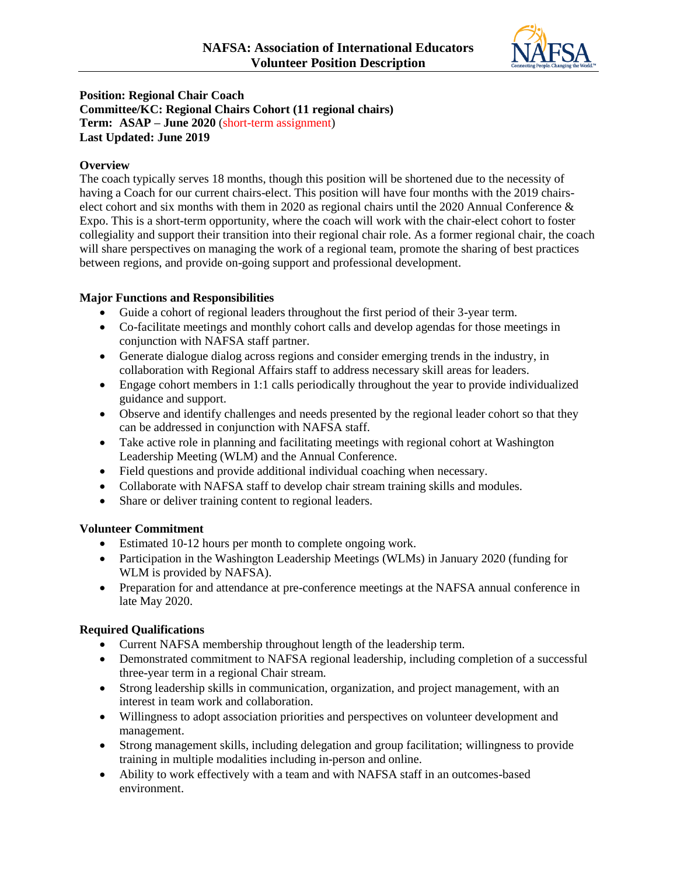

## **Position: Regional Chair Coach Committee/KC: Regional Chairs Cohort (11 regional chairs) Term: ASAP – June 2020** (short-term assignment) **Last Updated: June 2019**

## **Overview**

The coach typically serves 18 months, though this position will be shortened due to the necessity of having a Coach for our current chairs-elect. This position will have four months with the 2019 chairselect cohort and six months with them in 2020 as regional chairs until the 2020 Annual Conference & Expo. This is a short-term opportunity, where the coach will work with the chair-elect cohort to foster collegiality and support their transition into their regional chair role. As a former regional chair, the coach will share perspectives on managing the work of a regional team, promote the sharing of best practices between regions, and provide on-going support and professional development.

# **Major Functions and Responsibilities**

- Guide a cohort of regional leaders throughout the first period of their 3-year term.
- Co-facilitate meetings and monthly cohort calls and develop agendas for those meetings in conjunction with NAFSA staff partner.
- Generate dialogue dialog across regions and consider emerging trends in the industry, in collaboration with Regional Affairs staff to address necessary skill areas for leaders.
- Engage cohort members in 1:1 calls periodically throughout the year to provide individualized guidance and support.
- Observe and identify challenges and needs presented by the regional leader cohort so that they can be addressed in conjunction with NAFSA staff.
- Take active role in planning and facilitating meetings with regional cohort at Washington Leadership Meeting (WLM) and the Annual Conference.
- Field questions and provide additional individual coaching when necessary.
- Collaborate with NAFSA staff to develop chair stream training skills and modules.
- Share or deliver training content to regional leaders.

### **Volunteer Commitment**

- Estimated 10-12 hours per month to complete ongoing work.
- Participation in the Washington Leadership Meetings (WLMs) in January 2020 (funding for WLM is provided by NAFSA).
- Preparation for and attendance at pre-conference meetings at the NAFSA annual conference in late May 2020.

# **Required Qualifications**

- Current NAFSA membership throughout length of the leadership term.
- Demonstrated commitment to NAFSA regional leadership, including completion of a successful three-year term in a regional Chair stream.
- Strong leadership skills in communication, organization, and project management, with an interest in team work and collaboration.
- Willingness to adopt association priorities and perspectives on volunteer development and management.
- Strong management skills, including delegation and group facilitation; willingness to provide training in multiple modalities including in-person and online.
- Ability to work effectively with a team and with NAFSA staff in an outcomes-based environment.